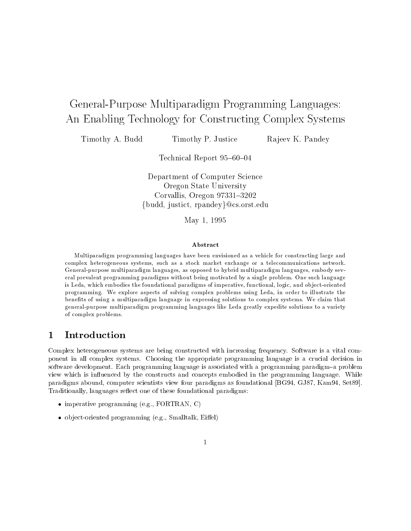# General-Purpose Multiparadigm Programming Languages: An Enabling Technology for Constructing Complex Systems

Timothy A. Budd Timothy P. Justice Rajeev K. Pandey

Technical Report 95-60-04

Department of Computer Science Oregon State University Corvallis, Oregon 97331-3202  ${\lbrace budd, justict, rpandey \rbrace}$ @cs.orst.edu

May 1, 1995

### Abstract

Multiparadigm programming languages have been envisioned as a vehicle for constructing large andcomplex heterogeneous systems, such as <sup>a</sup> stock market exchange or <sup>a</sup> telecommunications network. General-purpose multiparadigm languages, as opposed to hybrid multiparadigm languages, embody several prevalent programming paradigms without being motivated by a single problem. One such languageis Leda, which embodies the foundational paradigms of imperative, functional, logic, and ob ject-orientedprogramming. We explore aspects of solving complex problems using Leda, in order to illustrate the benets of using a multiparadigm language in expressing solutions to complex systems. We claim that general-purpose multiparadigm programming languages like Leda greatly expedite solutions to a varietyof complex problems.

# 1 Introduction

Complex heterogeneous systems are being constructed with increasing frequency. Software is a vital component in all complex systems. Choosing the appropriate programming language is a crucial decision in software development. Each programming language is associated with a programming paradigm-a problem view which is influenced by the constructs and concepts embodied in the programming language. While paradigms abound, computer scientists view four paradigms as foundational [BG94, GJ87, Kam94, Set89]. Traditionally, languages reflect one of these foundational paradigms:

- imperative programming (e.g., FORTRAN, C)
- ob ject-oriented programming (e.g., Smalltalk, Eiel)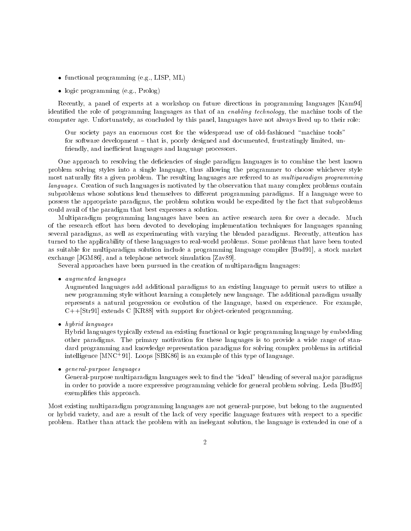- functional programming (e.g., LISP, ML)
- logic programming extensive programming the contract of the contract of the contract of the contract of the co

Recently, a panel of experts at a workshop on future directions in programming languages [Kam94] identied the role of programming languages as that of an enabling technology, the machine tools of the computer age. Unfortunately, as concluded by this panel, languages have not always lived up to their role:

Our society pays an enormous cost for the widespread use of old-fashioned "machine tools" for software development  $-$  that is, poorly designed and documented, frustratingly limited, unfriendly, and inecient languages and language processors.

One approach to resolving the deficiencies of single paradigm languages is to combine the best known problem solving styles into a single language, thus allowing the programmer to choose whichever style most naturally fits a given problem. The resulting languages are referred to as multiparadigm programming languages. Creation of such languages is motivated by the observation that many complex problems contain subproblems whose solutions lend themselves to different programming paradigms. If a language were to possess the appropriate paradigms, the problem solution would be expedited by the fact that subproblems could avail of the paradigm that best expresses a solution.

Multiparadigm programming languages have been an active research area for over a decade. Much of the research effort has been devoted to developing implementation techniques for languages spanning several paradigms, as well as experimenting with varying the blended paradigms. Recently, attention has turned to the applicability of these languages to real-world problems. Some problems that have been touted as suitable for multiparadigm solution include a programming language compiler [Bud91], a stock market exchange [JGM86], and a telephone network simulation [Zav89].

Several approaches have been pursued in the creation of multiparadigm languages:

augmented languages and languages and control and control and control and control and control and control and

Augmented languages add additional paradigms to an existing language to permit users to utilize a new programming style without learning a completely new language. The additional paradigm usually represents a natural progression or evolution of the language, based on experience. For example,  $C++[Str91]$  extends C [KR88] with support for object-oriented programming.

heybrid languages and the set of the set of the set of the set of the set of the set of the set of the set of t

Hybrid languages typically extend an existing functional or logic programming language by embedding other paradigms. The primary motivation for these languages is to provide a wide range of standard programming and knowledge representation paradigms for solving complex problems in articial intelligence [MNC+ 91]. Loops [SBK86] is an example of this type of language.

general-purpose languages purpose

General-purpose multiparadigm languages seek to find the "ideal" blending of several major paradigms in order to provide a more expressive programming vehicle for general problem solving. Leda [Bud95] exemplifies this approach.

Most existing multiparadigm programming languages are not general-purpose, but belong to the augmented or hybrid variety, and are a result of the lack of very specific language features with respect to a specific problem. Rather than attack the problem with an inelegant solution, the language is extended in one of a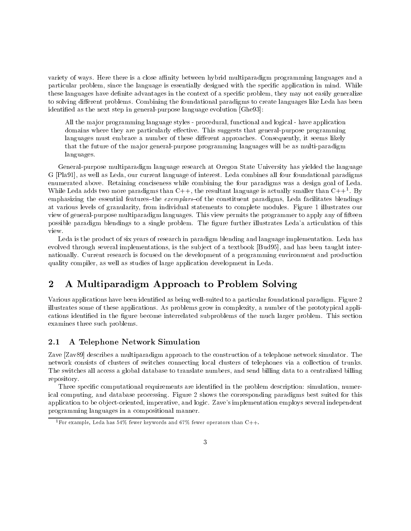variety of ways. Here there is a close affinity between hybrid multiparadigm programming languages and a particular problem, since the language is essentially designed with the specic application in mind. While these languages have definite advantages in the context of a specific problem, they may not easily generalize to solving different problems. Combining the foundational paradigms to create languages like Leda has been identied as the next step in general-purpose language evolution [Ghe93]:

All the ma jor programming language styles - procedural, functional and logical - have application domains where they are particularly effective. This suggests that general-purpose programming languages must embrace a number of these different approaches. Consequently, it seems likely that the future of the major general-purpose programming languages will be as multi-paradigm languages.

General-purpose multiparadigm language research at Oregon State University has yielded the language G [Pla91], as well as Leda, our current language of interest. Leda combines all four foundational paradigms enumerated above. Retaining conciseness while combining the four paradigms was a design goal of Leda. While Leda adds two more paradigms than C++, the resultant language is actually smaller than C++1 . By emphasizing the essential features-the exemplars-of the constituent paradigms, Leda facilitates blendings at various levels of granularity, from individual statements to complete modules. Figure 1 illustrates our view of general-purpose multiparadigm languages. This view permits the programmer to apply any of fteen possible paradigm blendings to a single problem. The gure further illustrates Leda'a articulation of this

Leda is the product of six years of research in paradigm blending and language implementation. Leda has evolved through several implementations, is the subject of a textbook [Bud95], and has been taught internationally. Current research is focused on the development of a programming environment and production quality compiler, as well as studies of large application development in Leda.

#### $\overline{2}$ 2 A Multiparadigm Approach to Problem Solving

Various applications have been identied as being well-suited to a particular foundational paradigm. Figure 2 illustrates some of these applications. As problems grow in complexity, a number of the prototypical applications identified in the figure become interrelated subproblems of the much larger problem. This section examines three such problems.

#### $2.1$ A Telephone Network Simulation

Zave [Zav89] describes a multiparadigm approach to the construction of a telephone network simulator. The network consists of clusters of switches connecting local clusters of telephones via a collection of trunks. The switches all access a global database to translate numbers, and send billing data to a centralized billing repository.

Three specific computational requirements are identified in the problem description: simulation, numerical computing, and database processing. Figure 2 shows the corresponding paradigms best suited for this application to be ob ject-oriented, imperative, and logic. Zave's implementation employs several independent programming languages in a compositional manner.

<sup>&</sup>lt;sup>1</sup> For example, Leda has 54% fewer keywords and 67% fewer operators than C++.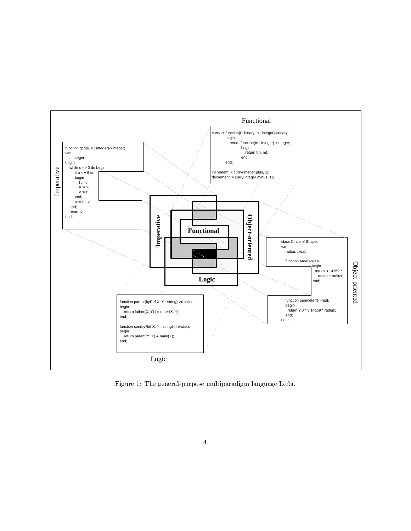

Figure 1: The general-purpose multiparadigm language Leda.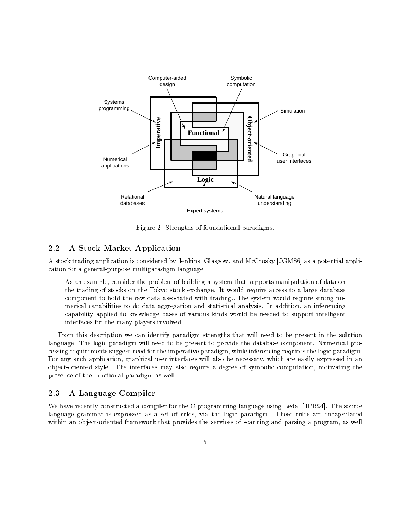

Figure 2: Strengths of foundational paradigms.

#### $2.2$ A Stock Market Application

A stock trading application is considered by Jenkins, Glasgow, and McCrosky [JGM86] as a potential application for a general-purpose multiparadigm language:

As an example, consider the problem of building a system that supports manipulation of data on the trading of stocks on the Tokyo stock exchange. It would require access to a large database component to hold the raw data associated with trading...The system would require strong numerical capabilities to do data aggregation and statistical analysis. In addition, an inferencing capability applied to knowledge bases of various kinds would be needed to support intelligent interfaces for the many players involved...

From this description we can identify paradigm strengths that will need to be present in the solution language. The logic paradigm will need to be present to provide the database component. Numerical processing requirements suggest need for the imperative paradigm, while inferencing requires the logic paradigm. For any such application, graphical user interfaces will also be necessary, which are easily expressed in an ob ject-oriented style. The interfaces may also require a degree of symbolic computation, motivating the presence of the functional paradigm as well.

### 2.3 A Language Compiler

We have recently constructed a compiler for the C programming language using Leda [JPB94]. The source language grammar is expressed as a set of rules, via the logic paradigm. These rules are encapsulated within an object-oriented framework that provides the services of scanning and parsing a program, as well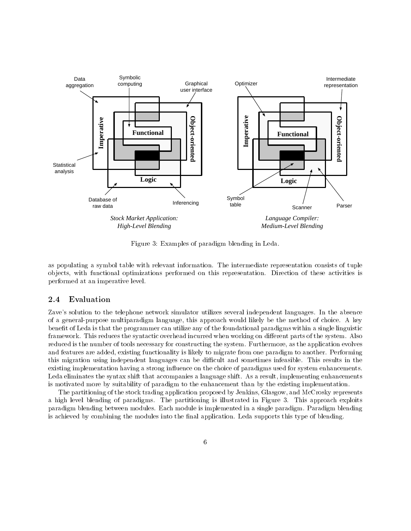

Figure 3: Examples of paradigm blending in Leda.

as populating a symbol table with relevant information. The intermediate representation consists of tuple ob jects, with functional optimizations performed on this representation. Direction of these activities is performed at an imperative level.

## 2.4 Evaluation

Zave's solution to the telephone network simulator utilizes several independent languages. In the absence of a general-purpose multiparadigm language, this approach would likely be the method of choice. A key benefit of Leda is that the programmer can utilize any of the foundational paradigms within a single linguistic framework. This reduces the syntactic overhead incurred when working on different parts of the system. Also reduced is the number of tools necessary for constructing the system. Furthermore, as the application evolves and features are added, existing functionality is likely to migrate from one paradigm to another. Performing this migration using independent languages can be difficult and sometimes infeasible. This results in the existing implementation having a strong influence on the choice of paradigms used for system enhancements. Leda eliminates the syntax shift that accompanies a language shift. As a result, implementing enhancements is motivated more by suitability of paradigm to the enhancement than by the existing implementation.

The partitioning of the stock trading application proposed by Jenkins, Glasgow, and McCrosky represents a high level blending of paradigms. The partitioning is illustrated in Figure 3. This approach exploits paradigm blending between modules. Each module is implemented in a single paradigm. Paradigm blending is achieved by combining the modules into the final application. Leda supports this type of blending.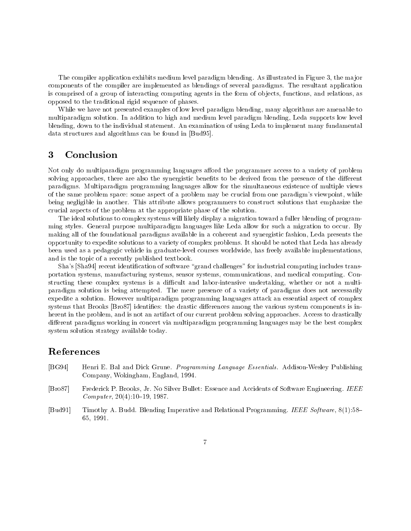The compiler application exhibits medium level paradigm blending. As illustrated in Figure 3, the major components of the compiler are implemented as blendings of several paradigms. The resultant application is comprised of a group of interacting computing agents in the form of ob jects, functions, and relations, as opposed to the traditional rigid sequence of phases.

While we have not presented examples of low level paradigm blending, many algorithms are amenable to multiparadigm solution. In addition to high and medium level paradigm blending, Leda supports low level blending, down to the individual statement. An examination of using Leda to implement many fundamental data structures and algorithms can be found in [Bud95].

#### 3 **Conclusion**

Not only do multiparadigm programming languages afford the programmer access to a variety of problem solving approaches, there are also the synergistic benefits to be derived from the presence of the different paradigms. Multiparadigm programming languages allow for the simultaneous existence of multiple views of the same problem space: some aspect of a problem may be crucial from one paradigm's viewpoint, while being negligible in another. This attribute allows programmers to construct solutions that emphasize the crucial aspects of the problem at the appropriate phase of the solution.

The ideal solutions to complex systems will likely display a migration toward a fuller blending of programming styles. General purpose multiparadigm languages like Leda allow for such a migration to occur. By making all of the foundational paradigms available in a coherent and synergistic fashion, Leda presents the opportunity to expedite solutions to a variety of complex problems. It should be noted that Leda has already been used as a pedagogic vehicle in graduate-level courses worldwide, has freely available implementations, and is the topic of a recently published textbook.

Sha's [Sha94] recent identification of software "grand challenges" for industrial computing includes transportation systems, manufacturing systems, sensor systems, communications, and medical computing. Constructing these complex systems is a difficult and labor-intensive undertaking, whether or not a multiparadigm solution is being attempted. The mere presence of a variety of paradigms does not necessarily expedite a solution. However multiparadigm programming languages attack an essential aspect of complex systems that Brooks [Bro87] identifies: the drastic differences among the various system components is inherent in the problem, and is not an artifact of our current problem solving approaches. Access to drastically different paradigms working in concert via multiparadigm programming languages may be the best complex system solution strategy available today.

# References

- [BG94] Henri E. Bal and Dick Grune. Programming Language Essentials. Addison-Wesley Publishing Company, Wokingham, England, 1994.
- [Bro87] Frederick P. Brooks, Jr. No Silver Bullet: Essence and Accidents of Software Engineering. IEEE  $Computer, 20(4):10–19, 1987.$
- [Bud91] Timothy A. Budd. Blending Imperative and Relational Programming. IEEE Software, 8(1):58-65, 1991.